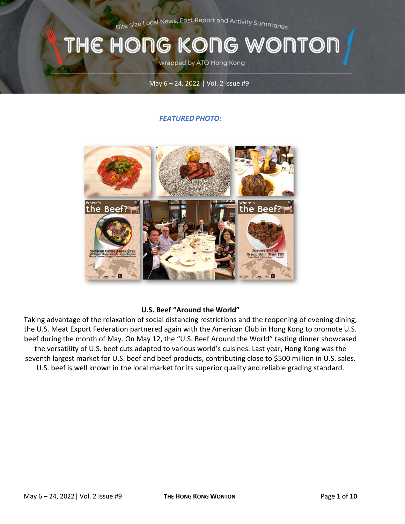Bite Size Local News, Post Report and Activity Summaries

# THE HONG KONG WONTON

wrapped by ATO Hong Kong

#### May 6 – 24, 2022 | Vol. 2 Issue #9

#### *FEATURED PHOTO:*



#### **U.S. Beef "Around the World"**

Taking advantage of the relaxation of social distancing restrictions and the reopening of evening dining, the U.S. Meat Export Federation partnered again with the American Club in Hong Kong to promote U.S. beef during the month of May. On May 12, the "U.S. Beef Around the World" tasting dinner showcased the versatility of U.S. beef cuts adapted to various world's cuisines. Last year, Hong Kong was the seventh largest market for U.S. beef and beef products, contributing close to \$500 million in U.S. sales. U.S. beef is well known in the local market for its superior quality and reliable grading standard.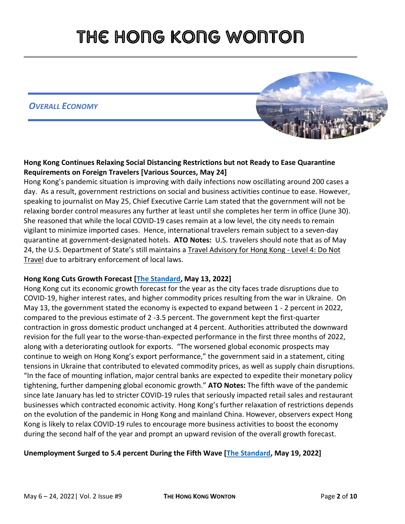*OVERALL ECONOMY*



### **Hong Kong Continues Relaxing Social Distancing Restrictions but not Ready to Ease Quarantine Requirements on Foreign Travelers [Various Sources, May 24]**

Hong Kong's pandemic situation is improving with daily infections now oscillating around 200 cases a day. As a result, government restrictions on social and business activities continue to ease. However, speaking to journalist on May 25, Chief Executive Carrie Lam stated that the government will not be relaxing border control measures any further at least until she completes her term in office (June 30). She reasoned that while the local COVID-19 cases remain at a low level, the city needs to remain vigilant to minimize imported cases. Hence, international travelers remain subject to a seven-day quarantine at government-designated hotels. **ATO Notes:** U.S. travelers should note that as of May 24, the U.S. Department of State's still maintains a [Travel Advisory for Hong Kong -](https://travel.state.gov/content/travel/en/international-travel/International-Travel-Country-Information-Pages/HongKong.html) Level 4: Do Not [Travel](https://travel.state.gov/content/travel/en/international-travel/International-Travel-Country-Information-Pages/HongKong.html) due to arbitrary enforcement of local laws.

### **Hong Kong Cuts Growth Forecast [\[The Standard,](https://www.thestandard.com.hk/breaking-news/section/2/190131/Hong-Kong-cuts-growth-forecast-on-Covid-trade-disruption%C2%A0) May 13, 2022]**

Hong Kong cut its economic growth forecast for the year as the city faces trade disruptions due to COVID-19, higher interest rates, and higher commodity prices resulting from the war in Ukraine. On May 13, the government stated the economy is expected to expand between 1 - 2 percent in 2022, compared to the previous estimate of 2 -3.5 percent. The government kept the first-quarter contraction in gross domestic product unchanged at 4 percent. Authorities attributed the downward revision for the full year to the worse-than-expected performance in the first three months of 2022, along with a deteriorating outlook for exports. "The worsened global economic prospects may continue to weigh on Hong Kong's export performance," the government said in a statement, citing tensions in Ukraine that contributed to elevated commodity prices, as well as supply chain disruptions. "In the face of mounting inflation, major central banks are expected to expedite their monetary policy tightening, further dampening global economic growth." **ATO Notes:** The fifth wave of the pandemic since late January has led to stricter COVID-19 rules that seriously impacted retail sales and restaurant businesses which contracted economic activity. Hong Kong's further relaxation of restrictions depends on the evolution of the pandemic in Hong Kong and mainland China. However, observers expect Hong Kong is likely to relax COVID-19 rules to encourage more business activities to boost the economy during the second half of the year and prompt an upward revision of the overall growth forecast.

#### **Unemployment Surged to 5.4 percent During the Fifth Wave [\[The Standard,](https://www.thestandard.com.hk/breaking-news/section/4/190324/Unemployment-surges-to-5.4pc-during-Covid-wave%C2%A0) May 19, 2022]**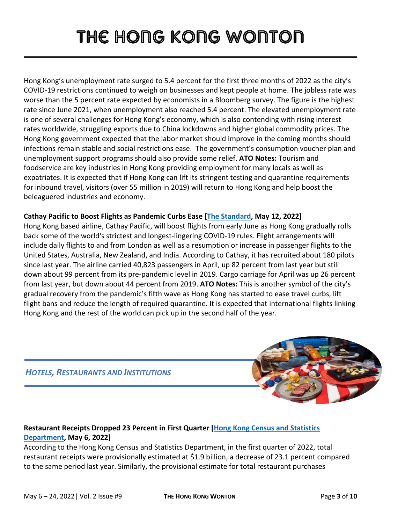Hong Kong's unemployment rate surged to 5.4 percent for the first three months of 2022 as the city's COVID-19 restrictions continued to weigh on businesses and kept people at home. The jobless rate was worse than the 5 percent rate expected by economists in a Bloomberg survey. The figure is the highest rate since June 2021, when unemployment also reached 5.4 percent. The elevated unemployment rate is one of several challenges for Hong Kong's economy, which is also contending with rising interest rates worldwide, struggling exports due to China lockdowns and higher global commodity prices. The Hong Kong government expected that the labor market should improve in the coming months should infections remain stable and social restrictions ease. The government's consumption voucher plan and unemployment support programs should also provide some relief. **ATO Notes:** Tourism and foodservice are key industries in Hong Kong providing employment for many locals as well as expatriates. It is expected that if Hong Kong can lift its stringent testing and quarantine requirements for inbound travel, visitors (over 55 million in 2019) will return to Hong Kong and help boost the beleaguered industries and economy.

#### **Cathay Pacific to Boost Flights as Pandemic Curbs Ease [\[The Standard,](https://www.thestandard.com.hk/section-news/section/2/241574/Cathay-to-boost-flights-as-pandemic-curbs-ease) May 12, 2022]**

Hong Kong based airline, Cathay Pacific, will boost flights from early June as Hong Kong gradually rolls back some of the world's strictest and longest-lingering COVID-19 rules. Flight arrangements will include daily flights to and from London as well as a resumption or increase in passenger flights to the United States, Australia, New Zealand, and India. According to Cathay, it has recruited about 180 pilots since last year. The airline carried 40,823 passengers in April, up 82 percent from last year but still down about 99 percent from its pre-pandemic level in 2019. Cargo carriage for April was up 26 percent from last year, but down about 44 percent from 2019. **ATO Notes:** This is another symbol of the city's gradual recovery from the pandemic's fifth wave as Hong Kong has started to ease travel curbs, lift flight bans and reduce the length of required quarantine. It is expected that international flights linking Hong Kong and the rest of the world can pick up in the second half of the year.

### *HOTELS, RESTAURANTS AND INSTITUTIONS*



### **Restaurant Receipts Dropped 23 Percent in First Quarter [\[Hong Kong Census and Statistics](https://www.censtatd.gov.hk/en/press_release_detail.html?id=5043)  [Department,](https://www.censtatd.gov.hk/en/press_release_detail.html?id=5043) May 6, 2022]**

According to the Hong Kong Census and Statistics Department, in the first quarter of 2022, total restaurant receipts were provisionally estimated at \$1.9 billion, a decrease of 23.1 percent compared to the same period last year. Similarly, the provisional estimate for total restaurant purchases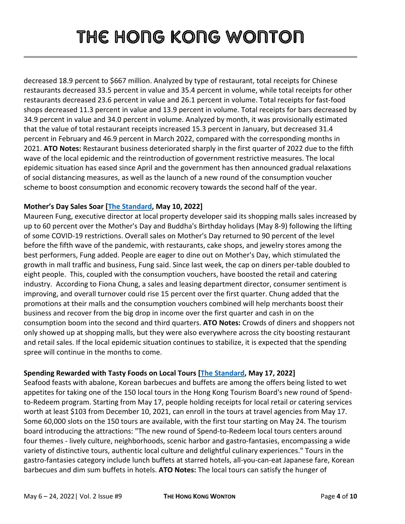decreased 18.9 percent to \$667 million. Analyzed by type of restaurant, total receipts for Chinese restaurants decreased 33.5 percent in value and 35.4 percent in volume, while total receipts for other restaurants decreased 23.6 percent in value and 26.1 percent in volume. Total receipts for fast-food shops decreased 11.3 percent in value and 13.9 percent in volume. Total receipts for bars decreased by 34.9 percent in value and 34.0 percent in volume. Analyzed by month, it was provisionally estimated that the value of total restaurant receipts increased 15.3 percent in January, but decreased 31.4 percent in February and 46.9 percent in March 2022, compared with the corresponding months in 2021. **ATO Notes:** Restaurant business deteriorated sharply in the first quarter of 2022 due to the fifth wave of the local epidemic and the reintroduction of government restrictive measures. The local epidemic situation has eased since April and the government has then announced gradual relaxations of social distancing measures, as well as the launch of a new round of the consumption voucher scheme to boost consumption and economic recovery towards the second half of the year.

#### **Mother's Day Sales Soar [\[The Standard,](https://www.thestandard.com.hk/section-news/section/2/241490/Holiday-sales-soar-60pc-at-SHKP-malls) May 10, 2022]**

Maureen Fung, executive director at local property developer said its shopping malls sales increased by up to 60 percent over the Mother's Day and Buddha's Birthday holidays (May 8-9) following the lifting of some COVID-19 restrictions. Overall sales on Mother's Day returned to 90 percent of the level before the fifth wave of the pandemic, with restaurants, cake shops, and jewelry stores among the best performers, Fung added. People are eager to dine out on Mother's Day, which stimulated the growth in mall traffic and business, Fung said. Since last week, the cap on diners per-table doubled to eight people. This, coupled with the consumption vouchers, have boosted the retail and catering industry. According to Fiona Chung, a sales and leasing department director, consumer sentiment is improving, and overall turnover could rise 15 percent over the first quarter. Chung added that the promotions at their malls and the consumption vouchers combined will help merchants boost their business and recover from the big drop in income over the first quarter and cash in on the consumption boom into the second and third quarters. **ATO Notes:** Crowds of diners and shoppers not only showed up at shopping malls, but they were also everywhere across the city boosting restaurant and retail sales. If the local epidemic situation continues to stabilize, it is expected that the spending spree will continue in the months to come.

### **Spending Rewarded with Tasty Foods on Local Tours [\[The Standard,](https://www.thestandard.com.hk/section-news/section/11/241738/Tasty-feasts-dished-up-on-local-tours-to-reward-spending) May 17, 2022]**

Seafood feasts with abalone, Korean barbecues and buffets are among the offers being listed to wet appetites for taking one of the 150 local tours in the Hong Kong Tourism Board's new round of Spendto-Redeem program. Starting from May 17, people holding receipts for local retail or catering services worth at least \$103 from December 10, 2021, can enroll in the tours at travel agencies from May 17. Some 60,000 slots on the 150 tours are available, with the first tour starting on May 24. The tourism board introducing the attractions: "The new round of Spend-to-Redeem local tours centers around four themes - lively culture, neighborhoods, scenic harbor and gastro-fantasies, encompassing a wide variety of distinctive tours, authentic local culture and delightful culinary experiences." Tours in the gastro-fantasies category include lunch buffets at starred hotels, all-you-can-eat Japanese fare, Korean barbecues and dim sum buffets in hotels. **ATO Notes:** The local tours can satisfy the hunger of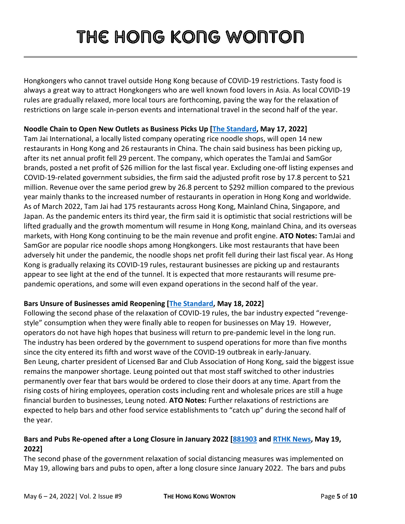Hongkongers who cannot travel outside Hong Kong because of COVID-19 restrictions. Tasty food is always a great way to attract Hongkongers who are well known food lovers in Asia. As local COVID-19 rules are gradually relaxed, more local tours are forthcoming, paving the way for the relaxation of restrictions on large scale in-person events and international travel in the second half of the year.

### **Noodle Chain to Open New Outlets as Business Picks Up [\[The Standard,](https://www.thestandard.com.hk/section-news/section/2/241705/Noodle-chain-to-open-40-new-outlets-as-business-picks-up) May 17, 2022]**

Tam Jai International, a locally listed company operating rice noodle shops, will open 14 new restaurants in Hong Kong and 26 restaurants in China. The chain said business has been picking up, after its net annual profit fell 29 percent. The company, which operates the TamJai and SamGor brands, posted a net profit of \$26 million for the last fiscal year. Excluding one-off listing expenses and COVID-19-related government subsidies, the firm said the adjusted profit rose by 17.8 percent to \$21 million. Revenue over the same period grew by 26.8 percent to \$292 million compared to the previous year mainly thanks to the increased number of restaurants in operation in Hong Kong and worldwide. As of March 2022, Tam Jai had 175 restaurants across Hong Kong, Mainland China, Singapore, and Japan. As the pandemic enters its third year, the firm said it is optimistic that social restrictions will be lifted gradually and the growth momentum will resume in Hong Kong, mainland China, and its overseas markets, with Hong Kong continuing to be the main revenue and profit engine. **ATO Notes:** TamJai and SamGor are popular rice noodle shops among Hongkongers. Like most restaurants that have been adversely hit under the pandemic, the noodle shops net profit fell during their last fiscal year. As Hong Kong is gradually relaxing its COVID-19 rules, restaurant businesses are picking up and restaurants appear to see light at the end of the tunnel. It is expected that more restaurants will resume prepandemic operations, and some will even expand operations in the second half of the year.

### **Bars Unsure of Businesses amid Reopening [\[The Standard,](https://www.thestandard.com.hk/breaking-news/section/4/190292/No-high-hopes-for-bars-despite-) May 18, 2022]**

Following the second phase of the relaxation of COVID-19 rules, the bar industry expected "revengestyle" consumption when they were finally able to reopen for businesses on May 19. However, operators do not have high hopes that business will return to pre-pandemic level in the long run. The industry has been ordered by the government to suspend operations for more than five months since the city entered its fifth and worst wave of the COVID-19 outbreak in early-January. Ben Leung, charter president of Licensed Bar and Club Association of Hong Kong, said the biggest issue remains the manpower shortage. Leung pointed out that most staff switched to other industries permanently over fear that bars would be ordered to close their doors at any time. Apart from the rising costs of hiring employees, operation costs including rent and wholesale prices are still a huge financial burden to businesses, Leung noted. **ATO Notes:** Further relaxations of restrictions are expected to help bars and other food service establishments to "catch up" during the second half of the year.

### **Bars and Pubs Re-opened after a Long Closure in January 2022 [\[881903](https://www.881903.com/news2/local/2441098/) and [RTHK News,](https://news.rthk.hk/rthk/ch/component/k2/1649263-20220519.htm) May 19, 2022]**

The second phase of the government relaxation of social distancing measures was implemented on May 19, allowing bars and pubs to open, after a long closure since January 2022. The bars and pubs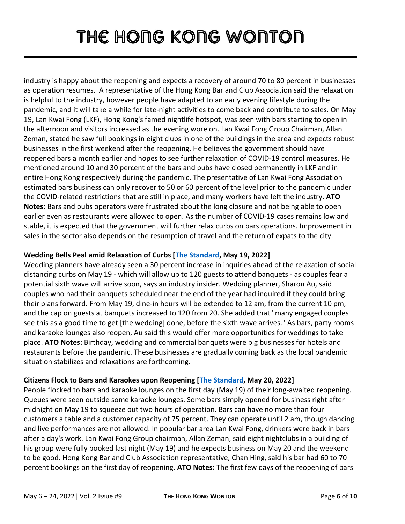industry is happy about the reopening and expects a recovery of around 70 to 80 percent in businesses as operation resumes. A representative of the Hong Kong Bar and Club Association said the relaxation is helpful to the industry, however people have adapted to an early evening lifestyle during the pandemic, and it will take a while for late-night activities to come back and contribute to sales. On May 19, Lan Kwai Fong (LKF), Hong Kong's famed nightlife hotspot, was seen with bars starting to open in the afternoon and visitors increased as the evening wore on. Lan Kwai Fong Group Chairman, Allan Zeman, stated he saw full bookings in eight clubs in one of the buildings in the area and expects robust businesses in the first weekend after the reopening. He believes the government should have reopened bars a month earlier and hopes to see further relaxation of COVID-19 control measures. He mentioned around 10 and 30 percent of the bars and pubs have closed permanently in LKF and in entire Hong Kong respectively during the pandemic. The presentative of Lan Kwai Fong Association estimated bars business can only recover to 50 or 60 percent of the level prior to the pandemic under the COVID-related restrictions that are still in place, and many workers have left the industry. **ATO Notes:** Bars and pubs operators were frustrated about the long closure and not being able to open earlier even as restaurants were allowed to open. As the number of COVID-19 cases remains low and stable, it is expected that the government will further relax curbs on bars operations. Improvement in sales in the sector also depends on the resumption of travel and the return of expats to the city.

### **Wedding Bells Peal amid Relaxation of Curbs [\[The Standard,](https://www.thestandard.com.hk/section-news/section/11/241832/Wedding-bells-peal-amid-rush-to-beat-curbs) May 19, 2022]**

Wedding planners have already seen a 30 percent increase in inquiries ahead of the relaxation of social distancing curbs on May 19 - which will allow up to 120 guests to attend banquets - as couples fear a potential sixth wave will arrive soon, says an industry insider. Wedding planner, Sharon Au, said couples who had their banquets scheduled near the end of the year had inquired if they could bring their plans forward. From May 19, dine-in hours will be extended to 12 am, from the current 10 pm, and the cap on guests at banquets increased to 120 from 20. She added that "many engaged couples see this as a good time to get [the wedding] done, before the sixth wave arrives." As bars, party rooms and karaoke lounges also reopen, Au said this would offer more opportunities for weddings to take place. **ATO Notes:** Birthday, wedding and commercial banquets were big businesses for hotels and restaurants before the pandemic. These businesses are gradually coming back as the local pandemic situation stabilizes and relaxations are forthcoming.

### **Citizens Flock to Bars and Karaokes upon Reopening [\[The Standard,](https://www.thestandard.com.hk/section-news/section/11/241889/Drink-and-be-merry-as-measures-eased) May 20, 2022]**

People flocked to bars and karaoke lounges on the first day (May 19) of their long-awaited reopening. Queues were seen outside some karaoke lounges. Some bars simply opened for business right after midnight on May 19 to squeeze out two hours of operation. Bars can have no more than four customers a table and a customer capacity of 75 percent. They can operate until 2 am, though dancing and live performances are not allowed. In popular bar area Lan Kwai Fong, drinkers were back in bars after a day's work. Lan Kwai Fong Group chairman, Allan Zeman, said eight nightclubs in a building of his group were fully booked last night (May 19) and he expects business on May 20 and the weekend to be good. Hong Kong Bar and Club Association representative, Chan Hing, said his bar had 60 to 70 percent bookings on the first day of reopening. **ATO Notes:** The first few days of the reopening of bars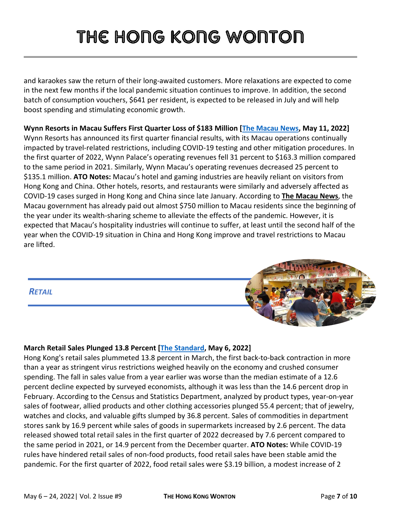and karaokes saw the return of their long-awaited customers. More relaxations are expected to come in the next few months if the local pandemic situation continues to improve. In addition, the second batch of consumption vouchers, \$641 per resident, is expected to be released in July and will help boost spending and stimulating economic growth.

**Wynn Resorts in Macau Suffers First Quarter Loss of \$183 Million [\[The Macau](https://macaonews.org/gaming/wynn-resorts-suffers-first-quarter-loss-of-us183-million/) News, May 11, 2022]** Wynn Resorts has announced its first quarter financial results, with its Macau operations continually impacted by travel-related restrictions, including COVID-19 testing and other mitigation procedures. In the first quarter of 2022, Wynn Palace's operating revenues fell 31 percent to \$163.3 million compared to the same period in 2021. Similarly, Wynn Macau's operating revenues decreased 25 percent to \$135.1 million. **ATO Notes:** Macau's hotel and gaming industries are heavily reliant on visitors from Hong Kong and China. Other hotels, resorts, and restaurants were similarly and adversely affected as COVID-19 cases surged in Hong Kong and China since late January. According to **[The Macau](https://macaonews.org/economy/pandemic-relief-hand-outs-for-macao-residents-top-mop-6-billion/) News**, the Macau government has already paid out almost \$750 million to Macau residents since the beginning of the year under its wealth-sharing scheme to alleviate the effects of the pandemic. However, it is expected that Macau's hospitality industries will continue to suffer, at least until the second half of the year when the COVID-19 situation in China and Hong Kong improve and travel restrictions to Macau are lifted.



### **March Retail Sales Plunged 13.8 Percent [\[The Standard,](https://www.thestandard.com.hk/section-news/section/2/241436/March-retail-sales-plunge-13pc-but-April-holds-hope) May 6, 2022]**

Hong Kong's retail sales plummeted 13.8 percent in March, the first back-to-back contraction in more than a year as stringent virus restrictions weighed heavily on the economy and crushed consumer spending. The fall in sales value from a year earlier was worse than the median estimate of a 12.6 percent decline expected by surveyed economists, although it was less than the 14.6 percent drop in February. According to the Census and Statistics Department, analyzed by product types, year-on-year sales of footwear, allied products and other clothing accessories plunged 55.4 percent; that of jewelry, watches and clocks, and valuable gifts slumped by 36.8 percent. Sales of commodities in department stores sank by 16.9 percent while sales of goods in supermarkets increased by 2.6 percent. The data released showed total retail sales in the first quarter of 2022 decreased by 7.6 percent compared to the same period in 2021, or 14.9 percent from the December quarter. **ATO Notes:** While COVID-19 rules have hindered retail sales of non-food products, food retail sales have been stable amid the pandemic. For the first quarter of 2022, food retail sales were \$3.19 billion, a modest increase of 2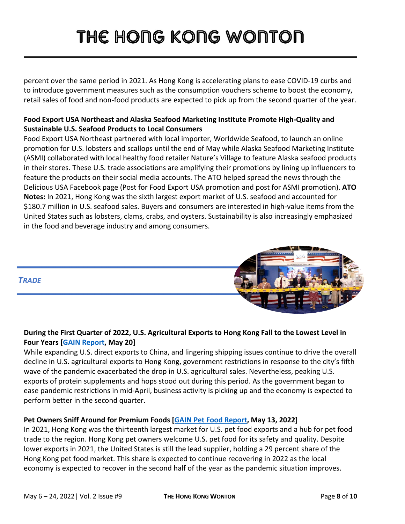percent over the same period in 2021. As Hong Kong is accelerating plans to ease COVID-19 curbs and to introduce government measures such as the consumption vouchers scheme to boost the economy, retail sales of food and non-food products are expected to pick up from the second quarter of the year.

### **Food Export USA Northeast and Alaska Seafood Marketing Institute Promote High-Quality and Sustainable U.S. Seafood Products to Local Consumers**

Food Export USA Northeast partnered with local importer, Worldwide Seafood, to launch an online promotion for U.S. lobsters and scallops until the end of May while Alaska Seafood Marketing Institute (ASMI) collaborated with local healthy food retailer Nature's Village to feature Alaska seafood products in their stores. These U.S. trade associations are amplifying their promotions by lining up influencers to feature the products on their social media accounts. The ATO helped spread the news through the Delicious USA Facebook page (Post for [Food Export USA promotion](https://www.facebook.com/1696147107281631/posts/3063734573856204/) and post for [ASMI promotion\)](https://www.facebook.com/1696147107281631/posts/3068773416685653/). **ATO Notes:** In 2021, Hong Kong was the sixth largest export market of U.S. seafood and accounted for \$180.7 million in U.S. seafood sales. Buyers and consumers are interested in high-value items from the United States such as lobsters, clams, crabs, and oysters. Sustainability is also increasingly emphasized in the food and beverage industry and among consumers.

### *TRADE*

### **During the First Quarter of 2022, U.S. Agricultural Exports to Hong Kong Fall to the Lowest Level in Four Years [\[GAIN Report,](https://apps.fas.usda.gov/newgainapi/api/Report/DownloadReportByFileName?fileName=First%20Quarter%202022%20US%20Agricultural%20Trade%20Data%20Highlights_Hong%20Kong_Hong%20Kong_HK2022-0039) May 20]**

While expanding U.S. direct exports to China, and lingering shipping issues continue to drive the overall decline in U.S. agricultural exports to Hong Kong, government restrictions in response to the city's fifth wave of the pandemic exacerbated the drop in U.S. agricultural sales. Nevertheless, peaking U.S. exports of protein supplements and hops stood out during this period. As the government began to ease pandemic restrictions in mid-April, business activity is picking up and the economy is expected to perform better in the second quarter.

### **Pet Owners Sniff Around for Premium Foods [GAIN [Pet Food Report,](https://apps.fas.usda.gov/newgainapi/api/Report/DownloadReportByFileName?fileName=Pet%20Owners%20Sniff%20Around%20for%20Premium%20Foods_Hong%20Kong_Hong%20Kong_HK2022-0034) May 13, 2022]**

In 2021, Hong Kong was the thirteenth largest market for U.S. pet food exports and a hub for pet food trade to the region. Hong Kong pet owners welcome U.S. pet food for its safety and quality. Despite lower exports in 2021, the United States is still the lead supplier, holding a 29 percent share of the Hong Kong pet food market. This share is expected to continue recovering in 2022 as the local economy is expected to recover in the second half of the year as the pandemic situation improves.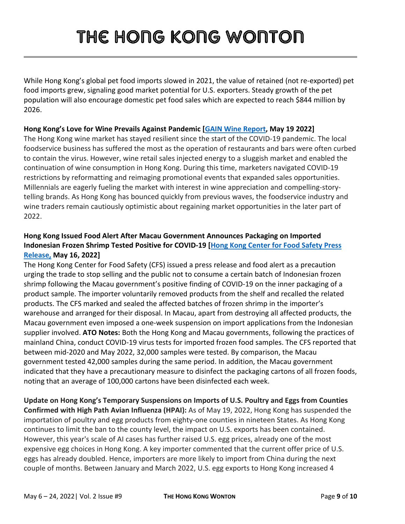While Hong Kong's global pet food imports slowed in 2021, the value of retained (not re-exported) pet food imports grew, signaling good market potential for U.S. exporters. Steady growth of the pet population will also encourage domestic pet food sales which are expected to reach \$844 million by 2026.

#### **Hong Kong's Love for Wine Prevails Against Pandemic [GAIN [Wine Report,](https://apps.fas.usda.gov/newgainapi/api/Report/DownloadReportByFileName?fileName=Love%20for%20Wine%20Prevails%20Against%20Pandemic_Hong%20Kong_Hong%20Kong_HK2022-0038) May 19 2022]**

The Hong Kong wine market has stayed resilient since the start of the COVID-19 pandemic. The local foodservice business has suffered the most as the operation of restaurants and bars were often curbed to contain the virus. However, wine retail sales injected energy to a sluggish market and enabled the continuation of wine consumption in Hong Kong. During this time, marketers navigated COVID-19 restrictions by reformatting and reimaging promotional events that expanded sales opportunities. Millennials are eagerly fueling the market with interest in wine appreciation and compelling-storytelling brands. As Hong Kong has bounced quickly from previous waves, the foodservice industry and wine traders remain cautiously optimistic about regaining market opportunities in the later part of 2022.

### **Hong Kong Issued Food Alert After Macau Government Announces Packaging on Imported Indonesian Frozen Shrimp Tested Positive for COVID-19 [\[Hong Kong Center for Food Safety Press](https://www.cfs.gov.hk/english/whatsnew/whatsnew_fa/2022_466.html)  [Release,](https://www.cfs.gov.hk/english/whatsnew/whatsnew_fa/2022_466.html) May 16, 2022]**

The Hong Kong Center for Food Safety (CFS) issued a press release and food alert as a precaution urging the trade to stop selling and the public not to consume a certain batch of Indonesian frozen shrimp following the Macau government's positive finding of COVID-19 on the inner packaging of a product sample. The importer voluntarily removed products from the shelf and recalled the related products. The CFS marked and sealed the affected batches of frozen shrimp in the importer's warehouse and arranged for their disposal. In Macau, apart from destroying all affected products, the Macau government even imposed a one-week suspension on import applications from the Indonesian supplier involved. **ATO Notes:** Both the Hong Kong and Macau governments, following the practices of mainland China, conduct COVID-19 virus tests for imported frozen food samples. The CFS reported that between mid-2020 and May 2022, 32,000 samples were tested. By comparison, the Macau government tested 42,000 samples during the same period. In addition, the Macau government indicated that they have a precautionary measure to disinfect the packaging cartons of all frozen foods, noting that an average of 100,000 cartons have been disinfected each week.

**Update on Hong Kong's Temporary Suspensions on Imports of U.S. Poultry and Eggs from Counties Confirmed with High Path Avian Influenza (HPAI):** As of May 19, 2022, Hong Kong has suspended the importation of poultry and egg products from eighty-one counties in nineteen States. As Hong Kong continues to limit the ban to the county level, the impact on U.S. exports has been contained. However, this year's scale of AI cases has further raised U.S. egg prices, already one of the most expensive egg choices in Hong Kong. A key importer commented that the current offer price of U.S. eggs has already doubled. Hence, importers are more likely to import from China during the next couple of months. Between January and March 2022, U.S. egg exports to Hong Kong increased 4